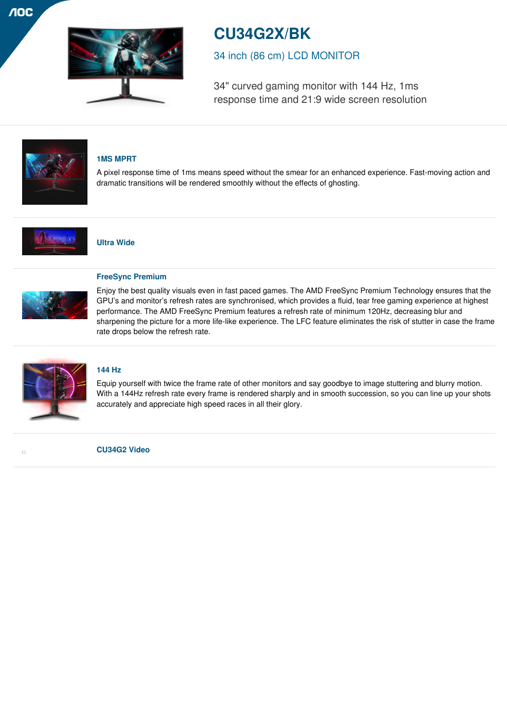

# **CU34G2X/BK**

34 inch (86 cm) LCD MONITOR

34" curved gaming monitor with 144 Hz, 1ms response time and 21:9 wide screen resolution



## **1MS MPRT**

A pixel response time of 1ms means speed without the smear for an enhanced experience. Fast-moving action and dramatic transitions will be rendered smoothly without the effects of ghosting.



## **Ultra Wide**



## **FreeSync Premium**

Enjoy the best quality visuals even in fast paced games. The AMD FreeSync Premium Technology ensures that the GPU's and monitor's refresh rates are synchronised, which provides a fluid, tear free gaming experience at highest performance. The AMD FreeSync Premium features a refresh rate of minimum 120Hz, decreasing blur and sharpening the picture for a more life-like experience. The LFC feature eliminates the risk of stutter in case the frame rate drops below the refresh rate.



 $\Box$ 

## **144 Hz**

Equip yourself with twice the frame rate of other monitors and say goodbye to image stuttering and blurry motion. With a 144Hz refresh rate every frame is rendered sharply and in smooth succession, so you can line up your shots accurately and appreciate high speed races in all their glory.

**CU34G2 Video**